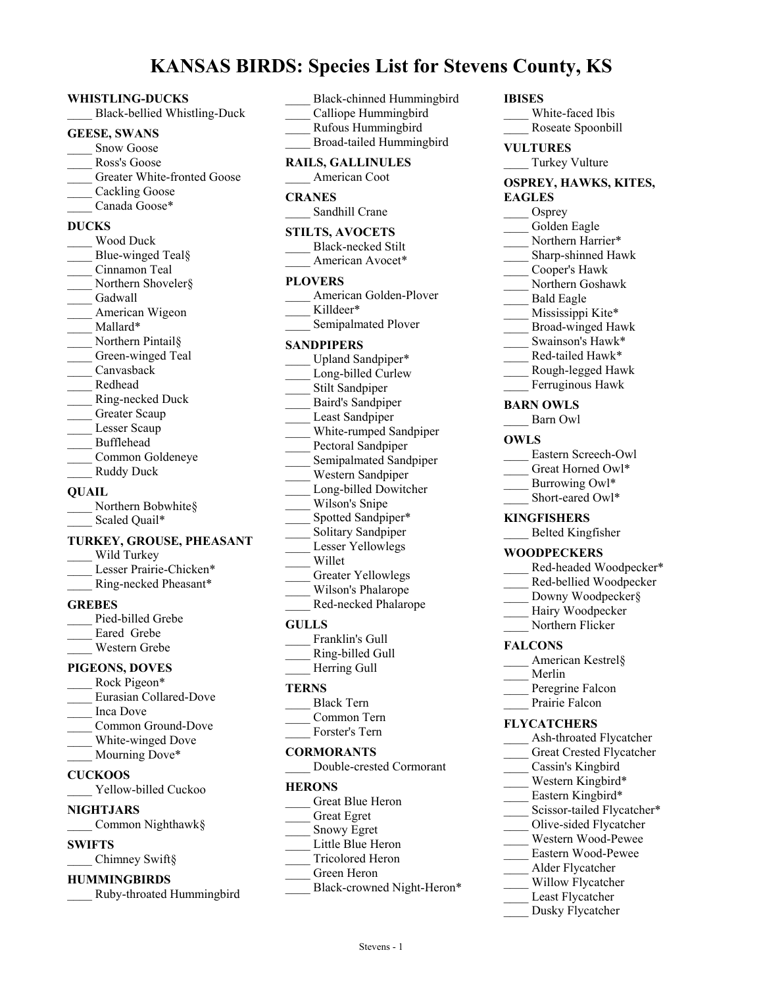# **KANSAS BIRDS: Species List for Stevens County, KS**

#### **WHISTLING-DUCKS**

\_\_\_\_ Black-bellied Whistling-Duck

#### **GEESE, SWANS**

- Snow Goose
- Ross's Goose
- Greater White-fronted Goose
- Cackling Goose
- Canada Goose\*

## **DUCKS**

\_\_\_\_ Wood Duck Blue-winged Teal§ \_\_\_\_ Cinnamon Teal Northern Shoveler§ Gadwall American Wigeon Mallard\* Northern Pintail§ Green-winged Teal \_\_\_\_ Canvasback \_\_\_\_ Redhead \_\_\_\_ Ring-necked Duck Greater Scaup Lesser Scaup \_\_\_\_ Bufflehead \_\_\_\_ Common Goldeneye Ruddy Duck **QUAIL** \_\_\_\_ Northern Bobwhite§ Scaled Quail\*

#### **TURKEY, GROUSE, PHEASANT**

Wild Turkey Lesser Prairie-Chicken\* \_\_\_\_ Ring-necked Pheasant\*

#### **GREBES**

- Pied-billed Grebe Eared Grebe
- \_\_\_\_ Western Grebe

## **PIGEONS, DOVES**

Rock Pigeon\* \_\_\_\_ Eurasian Collared-Dove \_\_\_\_ Inca Dove Common Ground-Dove White-winged Dove Mourning Dove\* **CUCKOOS** Yellow-billed Cuckoo **NIGHTJARS**

## \_\_\_\_ Common Nighthawk§

## **SWIFTS**

Chimney Swift§

## **HUMMINGBIRDS**

\_\_\_\_ Ruby-throated Hummingbird

| Black-chinned Hummingbird<br>Calliope Hummingbird<br>Rufous Hummingbird<br>Broad-tailed Hummingbird                                                                                                                                                                                                                                                                                                              |
|------------------------------------------------------------------------------------------------------------------------------------------------------------------------------------------------------------------------------------------------------------------------------------------------------------------------------------------------------------------------------------------------------------------|
| <b>RAILS, GALLINULES</b><br>American Coot                                                                                                                                                                                                                                                                                                                                                                        |
| <b>CRANES</b><br>Sandhill Crane                                                                                                                                                                                                                                                                                                                                                                                  |
| <b>STILTS, AVOCETS</b><br><b>Black-necked Stilt</b><br>American Avocet*                                                                                                                                                                                                                                                                                                                                          |
| <b>PLOVERS</b><br>American Golden-Plover<br>Killdeer*<br>Semipalmated Plover                                                                                                                                                                                                                                                                                                                                     |
| SANDPIPERS<br>Upland Sandpiper*<br>Long-billed Curlew<br>Stilt Sandpiper<br>Baird's Sandpiper<br>Least Sandpiper<br>White-rumped Sandpiper<br>Pectoral Sandpiper<br>Semipalmated Sandpiper<br>Western Sandpiper<br>Long-billed Dowitcher<br>Wilson's Snipe<br>Spotted Sandpiper*<br>Solitary Sandpiper<br>Lesser Yellowlegs<br>Willet<br><b>Greater Yellowlegs</b><br>Wilson's Phalarope<br>Red-necked Phalarope |
| <b>GULLS</b><br>Franklin's Gull<br>Ring-billed Gull<br>Herring Gull                                                                                                                                                                                                                                                                                                                                              |
| TERNS<br><b>Black Tern</b><br>Common Tern<br>Forster's Tern                                                                                                                                                                                                                                                                                                                                                      |
| <b>CORMORANTS</b><br>Double-crested Cormorant                                                                                                                                                                                                                                                                                                                                                                    |
| <b>HERONS</b><br><b>Great Blue Heron</b><br><b>Great Egret</b><br>Snowy Egret                                                                                                                                                                                                                                                                                                                                    |

- Little Blue Heron
- \_\_\_\_ Tricolored Heron
- \_\_\_\_ Green Heron
- Black-crowned Night-Heron\*

### **IBISES**

White-faced Ibis \_\_\_\_ Roseate Spoonbill

**VULTURES**

Turkey Vulture

#### **OSPREY, HAWKS, KITES, EAGLES**

- Osprey
- Golden Eagle
- Northern Harrier\*
- \_\_\_\_ Sharp-shinned Hawk
- \_\_\_\_ Cooper's Hawk
- \_\_\_\_ Northern Goshawk
- \_\_\_\_ Bald Eagle
- Mississippi Kite\*
- \_\_\_\_ Broad-winged Hawk
- Swainson's Hawk\*
- Red-tailed Hawk\*
- \_\_\_\_ Rough-legged Hawk
- Ferruginous Hawk

## **BARN OWLS**

\_\_\_\_ Barn Owl

#### **OWLS**

- Eastern Screech-Owl
- Great Horned Owl\*
- Burrowing Owl\* Short-eared Owl\*
- 

## **KINGFISHERS**

\_\_\_\_ Belted Kingfisher

#### **WOODPECKERS**

- Red-headed Woodpecker\* \_\_\_\_ Red-bellied Woodpecker
- Downy Woodpecker§
- Hairy Woodpecker
- Northern Flicker

#### **FALCONS**

- \_\_\_\_ American Kestrel§ \_\_\_\_ Merlin
- Peregrine Falcon
- Prairie Falcon

### **FLYCATCHERS**

- Ash-throated Flycatcher
- Great Crested Flycatcher
- \_\_\_\_ Cassin's Kingbird Western Kingbird\*
- Eastern Kingbird\*
- Scissor-tailed Flycatcher\*
- \_\_\_\_ Olive-sided Flycatcher
- \_\_\_\_ Western Wood-Pewee
- \_\_\_\_ Eastern Wood-Pewee
- \_\_\_\_ Alder Flycatcher
- Willow Flycatcher
- Least Flycatcher
- Dusky Flycatcher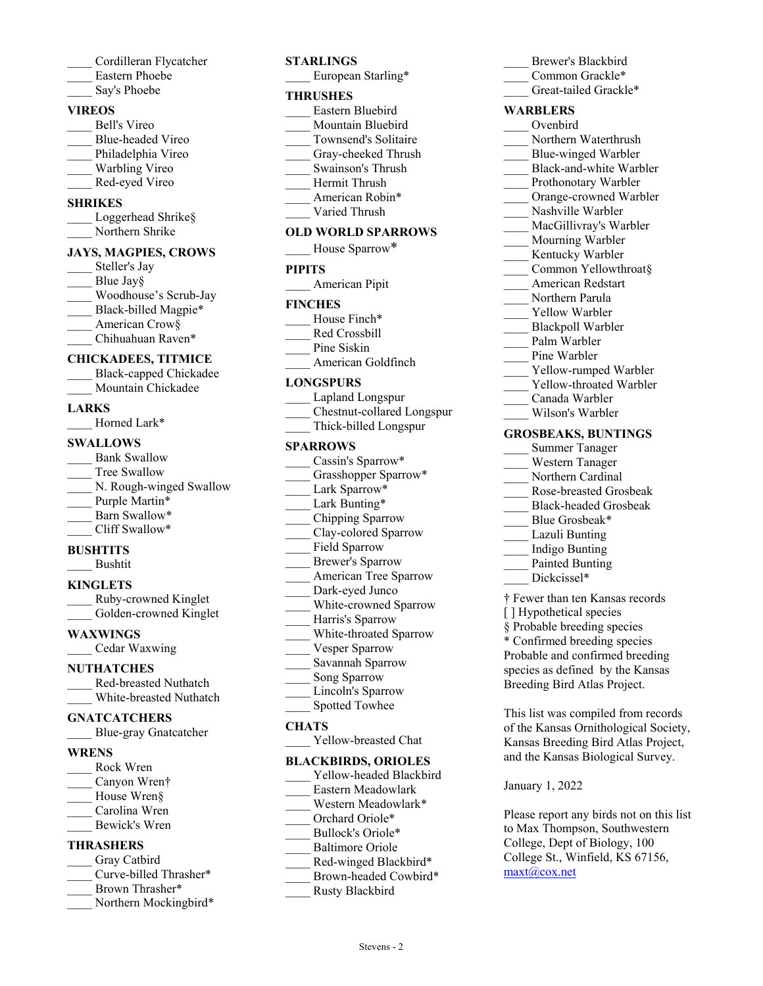- \_\_\_\_ Cordilleran Flycatcher \_\_\_\_ Eastern Phoebe
- Say's Phoebe
- 

## **VIREOS**

- \_\_\_\_ Bell's Vireo \_\_\_\_ Blue-headed Vireo Philadelphia Vireo Warbling Vireo
- \_\_\_\_ Red-eyed Vireo

## **SHRIKES**

Loggerhead Shrike§ Northern Shrike

## **JAYS, MAGPIES, CROWS**

Steller's Jay Blue Jay§ \_\_\_\_ Woodhouse's Scrub-Jay Black-billed Magpie\* American Crow§ Chihuahuan Raven\*

## **CHICKADEES, TITMICE**

\_\_\_\_ Black-capped Chickadee Mountain Chickadee

## **LARKS**

Horned Lark\*

## **SWALLOWS**

Bank Swallow Tree Swallow N. Rough-winged Swallow Purple Martin\* Barn Swallow\* \_\_\_\_ Cliff Swallow\*

## **BUSHTITS**

\_\_\_\_ Bushtit

## **KINGLETS**

\_\_\_\_ Ruby-crowned Kinglet Golden-crowned Kinglet

## **WAXWINGS**

\_\_\_\_ Cedar Waxwing

## **NUTHATCHES**

\_\_\_\_ Red-breasted Nuthatch \_\_\_\_ White-breasted Nuthatch

## **GNATCATCHERS**

\_\_\_\_ Blue-gray Gnatcatcher

## **WRENS**

\_\_\_\_ Rock Wren Canyon Wren† House Wren§ \_\_\_\_ Carolina Wren Bewick's Wren

## **THRASHERS**

- Gray Catbird Curve-billed Thrasher\*
- Brown Thrasher\*
- Northern Mockingbird\*

## **STARLINGS**

European Starling\*

## **THRUSHES**

- \_\_\_\_ Eastern Bluebird Mountain Bluebird
- \_\_\_\_ Townsend's Solitaire
- Gray-cheeked Thrush
- \_\_\_\_ Swainson's Thrush
- \_\_\_\_ Hermit Thrush
- American Robin\*
- Varied Thrush

## **OLD WORLD SPARROWS**

| House Sparrow* |
|----------------|
| <b>PIPITS</b>  |
| American Pipit |
| <b>FINCHES</b> |

#### **F** House Finch\*

- Red Crossbill
- Pine Siskin
- American Goldfinch

## **LONGSPURS**

- \_\_\_\_ Lapland Longspur \_\_\_\_ Chestnut-collared Longspur
- \_\_\_\_ Thick-billed Longspur

## **SPARROWS**

- Cassin's Sparrow\* Grasshopper Sparrow\* Lark Sparrow\* Lark Bunting\* \_\_\_\_ Chipping Sparrow Clay-colored Sparrow Field Sparrow \_\_\_\_ Brewer's Sparrow American Tree Sparrow Dark-eyed Junco White-crowned Sparrow Harris's Sparrow \_\_\_\_ White-throated Sparrow Vesper Sparrow \_\_\_\_ Savannah Sparrow
- Song Sparrow
- Lincoln's Sparrow
- Spotted Towhee

## **CHATS**

Yellow-breasted Chat

## **BLACKBIRDS, ORIOLES**

- Yellow-headed Blackbird
- \_\_\_\_ Eastern Meadowlark
- Western Meadowlark\* Orchard Oriole\*
- Bullock's Oriole\*
- Baltimore Oriole
- Red-winged Blackbird\*
- Brown-headed Cowbird\*
- \_\_\_\_ Rusty Blackbird

| Brewer's Blackbird      |  |
|-------------------------|--|
| Common Grackle*         |  |
| Great-tailed Grackle*   |  |
| <b>WARBLERS</b>         |  |
| Ovenbird                |  |
| Northern Waterthrush    |  |
| Blue-winged Warbler     |  |
| Black-and-white Warbler |  |
| Prothonotary Warbler    |  |
| Orange-crowned Warbler  |  |
|                         |  |

- Nashville Warbler MacGillivray's Warbler
- Mourning Warbler
- Kentucky Warbler
- Common Yellowthroat§
- \_\_\_\_ American Redstart
- \_\_\_\_ Northern Parula
- Yellow Warbler
- \_\_\_\_ Blackpoll Warbler
- Palm Warbler
- Pine Warbler
- Yellow-rumped Warbler
- Yellow-throated Warbler
- \_\_\_\_ Canada Warbler
- \_\_\_\_ Wilson's Warbler

## **GROSBEAKS, BUNTINGS**

- \_\_\_\_ Summer Tanager
- \_\_\_\_ Western Tanager
- Northern Cardinal
- \_\_\_\_ Rose-breasted Grosbeak
- \_\_\_\_ Black-headed Grosbeak
- Blue Grosbeak\*
- Lazuli Bunting
- \_\_\_\_ Indigo Bunting
- Painted Bunting
- Dickcissel\*
- † Fewer than ten Kansas records [] Hypothetical species § Probable breeding species \* Confirmed breeding species Probable and confirmed breeding species as defined by the Kansas Breeding Bird Atlas Project.

This list was compiled from records of the Kansas Ornithological Society, Kansas Breeding Bird Atlas Project, and the Kansas Biological Survey.

## January 1, 2022

Please report any birds not on this list to Max Thompson, Southwestern College, Dept of Biology, 100 College St., Winfield, KS 67156, maxt@cox.net